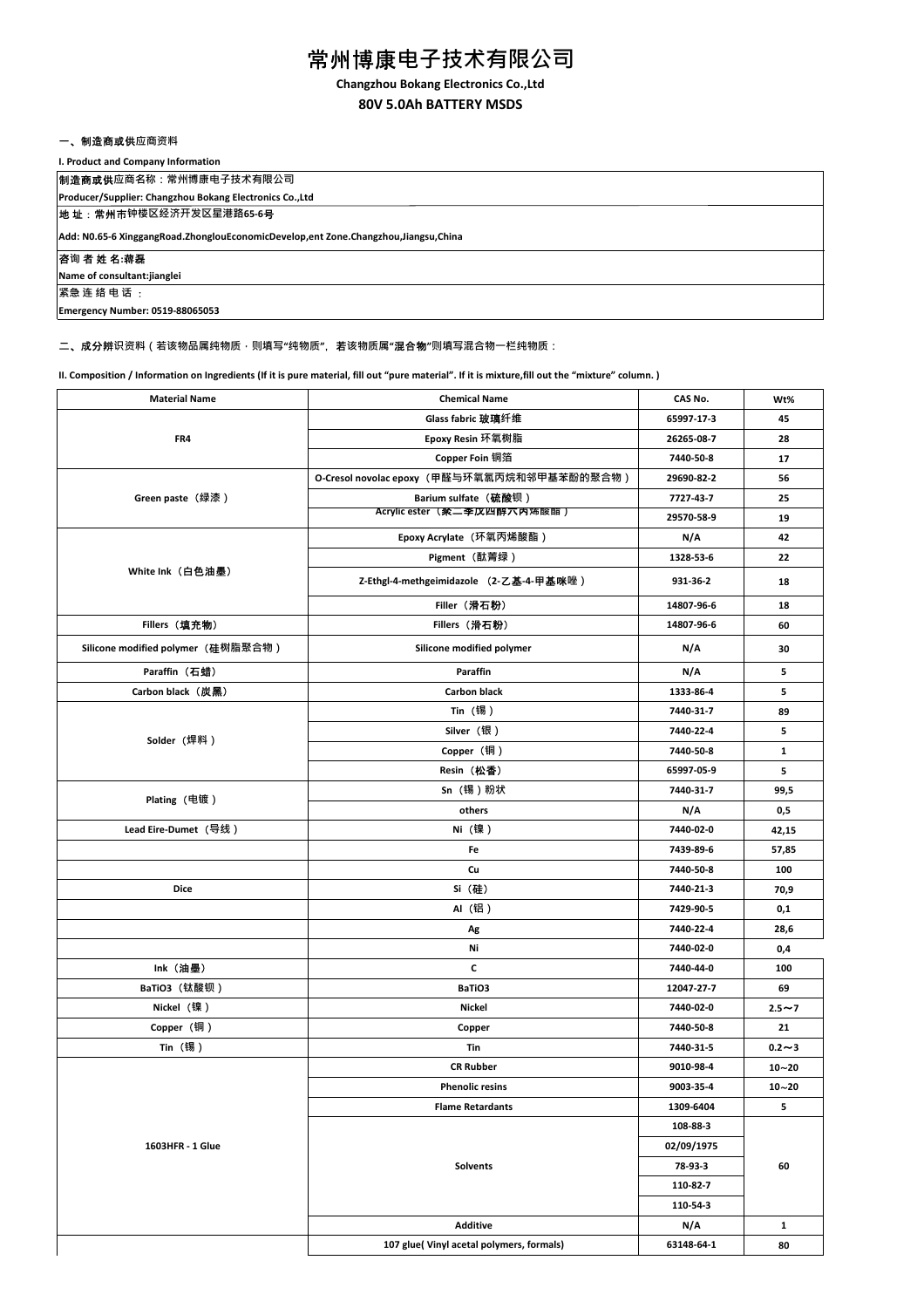# 常州博康**电子技术有限公司**

**Changzhou Bokang Electronics Co.,Ltd**

# **80V 5.0Ah BATTERY MSDS**

### 一、制造商或供**应商资料**

### **I. Product and Company Information**

制造商或供**应商名称:常州博康电子技术有限公司**

**Producer/Supplier: Changzhou Bokang Electronics Co.,Ltd**

地 址:常州市**钟楼区经济开发区星港路65-6**号

**Add: N0.65-6 XinggangRoad.ZhonglouEconomicDevelop,ent Zone.Changzhou,Jiangsu,China**

#### 咨**询** 者 姓 名**:**蒋磊

**Name of consultant:jianglei 紧急 连 络 电 话** :

**Emergency Number: 0519-88065053**

二、成分辨**识资料(若该物品属纯物质,则填写"纯物质"**,若**该物质属"**混合物**"则填写混合物一栏纯物质:**

**II. Composition / Information on Ingredients (If it is pure material, fill out "pure material". If it is mixture,fill out the "mixture" column. )**

| <b>Material Name</b>               | <b>Chemical Name</b>                        | CAS No.    | Wt%          |
|------------------------------------|---------------------------------------------|------------|--------------|
|                                    | Glass fabric 玻璃纤维                           | 65997-17-3 | 45           |
| FR4                                | Epoxy Resin 环氧树脂                            | 26265-08-7 | 28           |
|                                    | Copper Foin 铜箔                              | 7440-50-8  | 17           |
|                                    | O-Cresol novolac epoxy (甲醛与环氧氯丙烷和邻甲基苯酚的聚合物) | 29690-82-2 | 56           |
| Green paste (绿漆)                   | Barium sulfate (硫酸钡)                        | 7727-43-7  | 25           |
|                                    | Acrylic ester (家二李以四醇六内冻酸酯)                 | 29570-58-9 | 19           |
|                                    | Epoxy Acrylate (环氧丙烯酸酯)                     | N/A        | 42           |
|                                    | Pigment (酞菁绿)                               | 1328-53-6  | 22           |
| White Ink (白色油墨)                   | Z-Ethgl-4-methgeimidazole (2-乙基-4-甲基咪唑)     | 931-36-2   | 18           |
|                                    | Filler (滑石粉)                                | 14807-96-6 | 18           |
| Fillers (填充物)                      | Fillers (滑石粉)                               | 14807-96-6 | 60           |
| Silicone modified polymer (硅树脂聚合物) | Silicone modified polymer                   | N/A        | 30           |
| Paraffin (石蜡)                      | Paraffin                                    | N/A        | 5            |
| Carbon black (炭黑)                  | <b>Carbon black</b>                         | 1333-86-4  | 5            |
|                                    | Tin (锡)                                     | 7440-31-7  | 89           |
| Solder (焊料)                        | Silver (银)                                  | 7440-22-4  | 5            |
|                                    | Copper (铜)                                  | 7440-50-8  | $\mathbf{1}$ |
|                                    | Resin(松香)                                   | 65997-05-9 | 5            |
|                                    | Sn (锡) 粉状                                   | 7440-31-7  | 99,5         |
| Plating (电镀)                       | others                                      | N/A        | 0,5          |
| Lead Eire-Dumet (导线)               | Ni(镍)                                       | 7440-02-0  | 42,15        |
|                                    | Fe                                          | 7439-89-6  | 57,85        |
|                                    | Cu                                          | 7440-50-8  | 100          |
| Dice                               | Si (硅)                                      | 7440-21-3  | 70,9         |
|                                    | AI (铝)                                      | 7429-90-5  | 0,1          |
|                                    | Ag                                          | 7440-22-4  | 28,6         |
|                                    | Ni                                          | 7440-02-0  | 0,4          |
| Ink (油墨)                           | c                                           | 7440-44-0  | 100          |
| BaTiO3 (钛酸钡)                       | BaTiO3                                      | 12047-27-7 | 69           |
| Nickel(镍)                          | Nickel                                      | 7440-02-0  | $2.5 - 7$    |
| Copper (铜)                         | Copper                                      | 7440-50-8  | 21           |
| Tin (锡)                            | Tin                                         | 7440-31-5  | $0.2 - 3$    |
|                                    | <b>CR Rubber</b>                            | 9010-98-4  | $10 - 20$    |
|                                    | <b>Phenolic resins</b>                      | 9003-35-4  | $10 - 20$    |
|                                    | <b>Flame Retardants</b>                     | 1309-6404  | 5            |
|                                    |                                             | 108-88-3   |              |
| 1603HFR - 1 Glue                   | <b>Solvents</b>                             | 02/09/1975 |              |
|                                    |                                             | 78-93-3    | 60           |
|                                    |                                             | 110-82-7   |              |
|                                    |                                             | 110-54-3   |              |
|                                    | <b>Additive</b>                             | N/A        | $\mathbf{1}$ |
|                                    | 107 glue(Vinyl acetal polymers, formals)    | 63148-64-1 | 80           |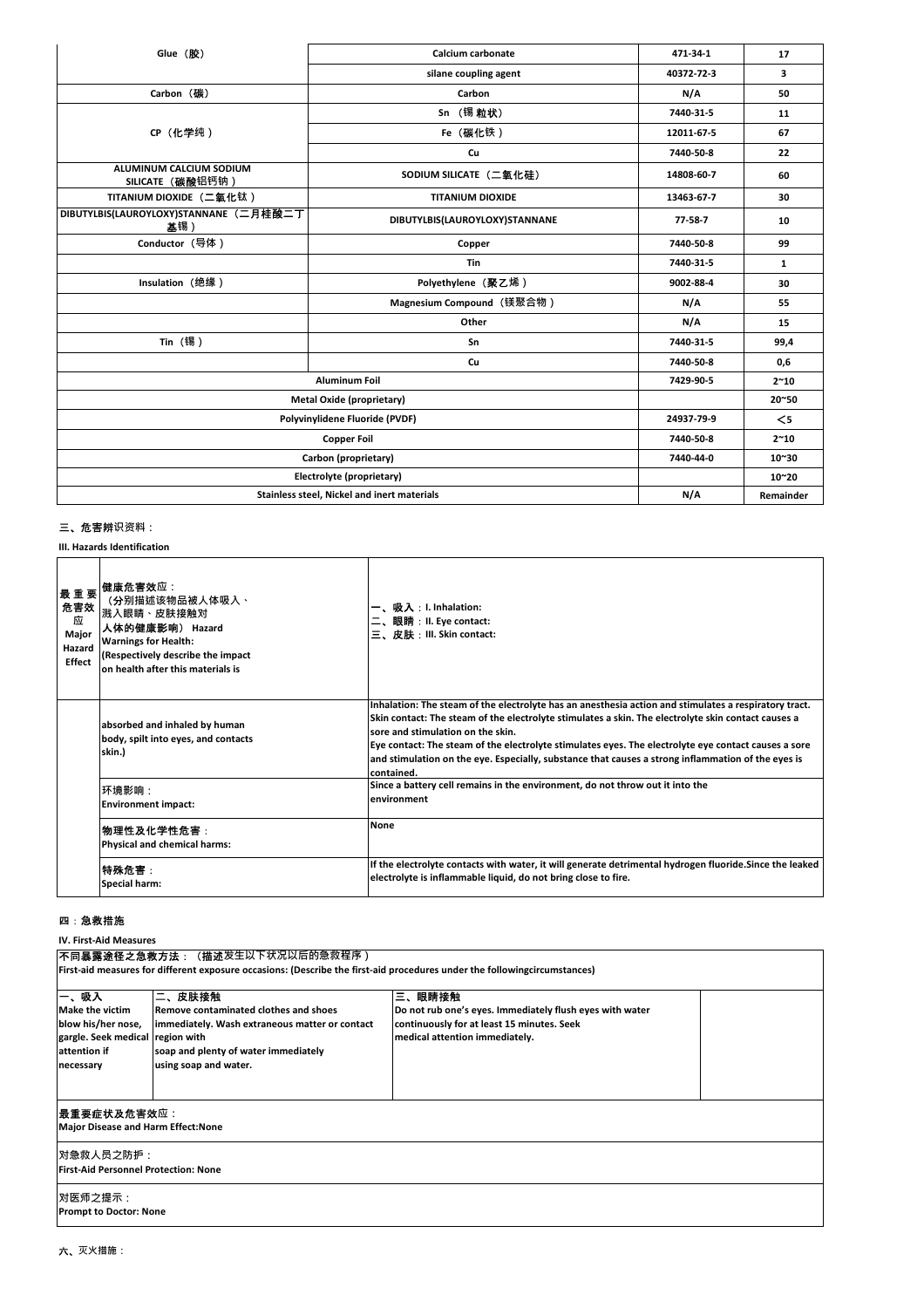| Glue (胶)                                      | Calcium carbonate              | 471-34-1      | 17            |
|-----------------------------------------------|--------------------------------|---------------|---------------|
|                                               | silane coupling agent          | 40372-72-3    | 3             |
| Carbon (碳)                                    | Carbon                         | N/A           | 50            |
|                                               | Sn (锡粒状)                       | 7440-31-5     | 11            |
| CP (化学纯)                                      | Fe (碳化铁)                       | 12011-67-5    | 67            |
|                                               | Cu                             | 7440-50-8     | 22            |
| ALUMINUM CALCIUM SODIUM<br>SILICATE (碳酸铝钙钠)   | SODIUM SILICATE (二氧化硅)         | 14808-60-7    | 60            |
| TITANIUM DIOXIDE (二氧化钛)                       | <b>TITANIUM DIOXIDE</b>        | 13463-67-7    | 30            |
| DIBUTYLBIS(LAUROYLOXY)STANNANE (二月桂酸二丁<br>基锡) | DIBUTYLBIS(LAUROYLOXY)STANNANE | $77 - 58 - 7$ | 10            |
| Conductor (导体)                                | Copper                         | 7440-50-8     | 99            |
|                                               | Tin                            | 7440-31-5     | $\mathbf{1}$  |
| Insulation (绝缘)                               | Polyethylene (聚乙烯)             | 9002-88-4     | 30            |
|                                               | Magnesium Compound (镁聚合物)      | N/A           | 55            |
|                                               | Other                          | N/A           | 15            |
| Tin (锡)                                       | Sn                             | 7440-31-5     | 99,4          |
|                                               | Cu                             | 7440-50-8     | 0,6           |
| <b>Aluminum Foil</b>                          |                                | 7429-90-5     | $2^{\sim}10$  |
| <b>Metal Oxide (proprietary)</b>              |                                |               | 20~50         |
| Polyvinylidene Fluoride (PVDF)                |                                | 24937-79-9    | $\leq$        |
| <b>Copper Foil</b>                            |                                | 7440-50-8     | $2^{\sim}10$  |
| Carbon (proprietary)                          |                                | 7440-44-0     | $10^{\sim}30$ |
| Electrolyte (proprietary)                     |                                |               | $10^{\sim}20$ |
| Stainless steel, Nickel and inert materials   |                                | N/A           | Remainder     |

# 三、危害辨**识资料:**

**III. Hazards Identification**

| 最重要<br>危害效<br>应<br>Major<br>Hazard<br>Effect | 健康危害效应:<br>(分别描述该物品被人体吸入 <b>、</b><br>溅入眼睛、皮肤接触对<br>人体的健康影响) Hazard<br><b>Warnings for Health:</b><br>(Respectively describe the impact<br>on health after this materials is | 一、吸入:I. Inhalation:<br>眼睛:II. Eye contact:<br>三、皮肤:III. Skin contact:                                                                                                                                                                                                                                                                                                                                                                                                         |
|----------------------------------------------|-----------------------------------------------------------------------------------------------------------------------------------------------------------------------------|-------------------------------------------------------------------------------------------------------------------------------------------------------------------------------------------------------------------------------------------------------------------------------------------------------------------------------------------------------------------------------------------------------------------------------------------------------------------------------|
|                                              | absorbed and inhaled by human<br>body, spilt into eyes, and contacts<br>skin.)                                                                                              | Inhalation: The steam of the electrolyte has an anesthesia action and stimulates a respiratory tract.<br>Skin contact: The steam of the electrolyte stimulates a skin. The electrolyte skin contact causes a<br>sore and stimulation on the skin.<br>Eye contact: The steam of the electrolyte stimulates eyes. The electrolyte eye contact causes a sore<br>and stimulation on the eye. Especially, substance that causes a strong inflammation of the eyes is<br>contained. |
|                                              | 环境影响:<br><b>Environment impact:</b>                                                                                                                                         | Since a battery cell remains in the environment, do not throw out it into the<br>environment                                                                                                                                                                                                                                                                                                                                                                                  |
|                                              | 物理性及化学性危害:<br>Physical and chemical harms:                                                                                                                                  | <b>None</b>                                                                                                                                                                                                                                                                                                                                                                                                                                                                   |
|                                              | 特殊危害:<br>Special harm:                                                                                                                                                      | If the electrolyte contacts with water, it will generate detrimental hydrogen fluoride. Since the leaked<br>electrolyte is inflammable liquid, do not bring close to fire.                                                                                                                                                                                                                                                                                                    |

### 四:急救措施

**IV. First-Aid Measures**

|                                                                                                                       | 不 <b>同暴露途径之急救方法:(描述</b> 发生以下状况以后的急救程序)                                                                                                                                    |                                                                                                                                                    |  |
|-----------------------------------------------------------------------------------------------------------------------|---------------------------------------------------------------------------------------------------------------------------------------------------------------------------|----------------------------------------------------------------------------------------------------------------------------------------------------|--|
|                                                                                                                       | [First-aid measures for different exposure occasions: (Describe the first-aid procedures under the followingcircumstances)                                                |                                                                                                                                                    |  |
| 一、吸入<br><b>Make the victim</b><br>blow his/her nose,<br>gargle. Seek medical region with<br>attention if<br>necessary | 二、皮肤接触<br><b>Remove contaminated clothes and shoes</b><br>immediately. Wash extraneous matter or contact<br>soap and plenty of water immediately<br>using soap and water. | 三、眼睛接触<br>Do not rub one's eyes. Immediately flush eyes with water<br>continuously for at least 15 minutes. Seek<br>medical attention immediately. |  |
|                                                                                                                       |                                                                                                                                                                           |                                                                                                                                                    |  |
| 最重要症状及危害效应:<br><b>Major Disease and Harm Effect:None</b>                                                              |                                                                                                                                                                           |                                                                                                                                                    |  |
| 对急救人员之防护:<br><b>First-Aid Personnel Protection: None</b>                                                              |                                                                                                                                                                           |                                                                                                                                                    |  |
| 对医师之提示:<br><b>Prompt to Doctor: None</b>                                                                              |                                                                                                                                                                           |                                                                                                                                                    |  |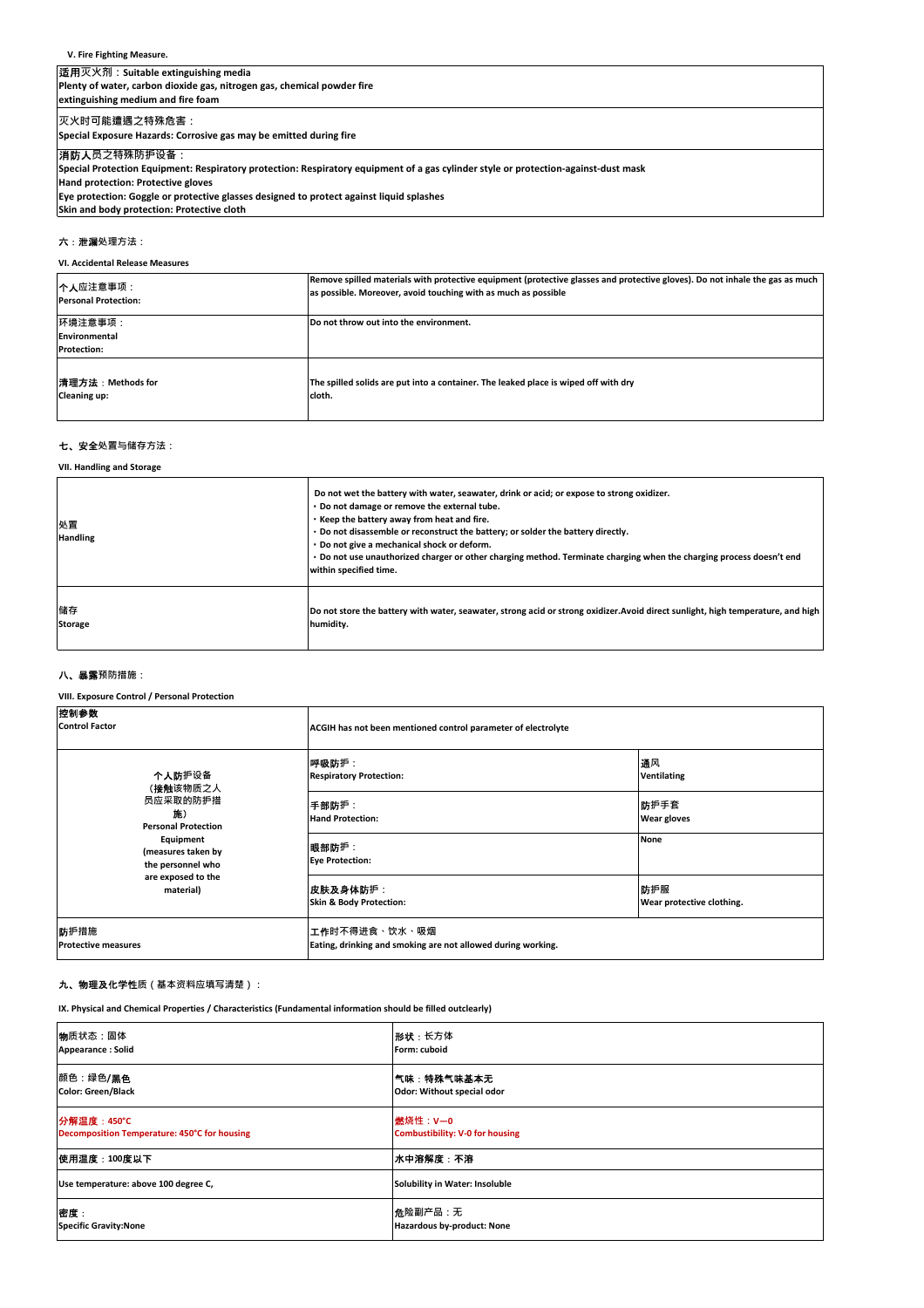#### **V. Fire Fighting Measure.**

# 适用**灭火剂:Suitable extinguishing media**

**Plenty of water, carbon dioxide gas, nitrogen gas, chemical powder fire extinguishing medium and fire foam**

**灭火时可能遭遇之特殊危害:**

**Special Exposure Hazards: Corrosive gas may be emitted during fire**

# 消防人**员之特殊防护设备:**

**Special Protection Equipment: Respiratory protection: Respiratory equipment of a gas cylinder style or protection-against-dust mask**

#### **Hand protection: Protective gloves**

**Eye protection: Goggle or protective glasses designed to protect against liquid splashes Skin and body protection: Protective cloth**

# 六:泄漏**处理方法:**

**VI. Accidental Release Measures**

| 个人应注意事项:                                       | Remove spilled materials with protective equipment (protective glasses and protective gloves). Do not inhale the gas as much |
|------------------------------------------------|------------------------------------------------------------------------------------------------------------------------------|
| <b>Personal Protection:</b>                    | as possible. Moreover, avoid touching with as much as possible                                                               |
| 环境注意事项:<br>Environmental<br><b>Protection:</b> | Do not throw out into the environment.                                                                                       |
| 清理方法:Methods for                               | The spilled solids are put into a container. The leaked place is wiped off with dry                                          |
| <b>Cleaning up:</b>                            | cloth.                                                                                                                       |

#### 七、安全**处置与储存方法:**

**VII. Handling and Storage**

| 处置<br><b>Handling</b> | Do not wet the battery with water, seawater, drink or acid; or expose to strong oxidizer.<br>. Do not damage or remove the external tube.<br>Keep the battery away from heat and fire.<br>. Do not disassemble or reconstruct the battery; or solder the battery directly.<br>. Do not give a mechanical shock or deform.<br>. Do not use unauthorized charger or other charging method. Terminate charging when the charging process doesn't end<br>within specified time. |
|-----------------------|-----------------------------------------------------------------------------------------------------------------------------------------------------------------------------------------------------------------------------------------------------------------------------------------------------------------------------------------------------------------------------------------------------------------------------------------------------------------------------|
| 储存                    | Do not store the battery with water, seawater, strong acid or strong oxidizer. Avoid direct sunlight, high temperature, and high                                                                                                                                                                                                                                                                                                                                            |
| <b>Storage</b>        | humidity.                                                                                                                                                                                                                                                                                                                                                                                                                                                                   |

#### 八、暴露**预防措施:**

**VIII. Exposure Control / Personal Protection**

| 控制参数<br><b>Control Factor</b>                                                           | ACGIH has not been mentioned control parameter of electrolyte                 |                                  |
|-----------------------------------------------------------------------------------------|-------------------------------------------------------------------------------|----------------------------------|
| 个人防护设备<br>(接触该物质之人                                                                      | 呼吸防护:<br><b>Respiratory Protection:</b>                                       | 通风<br><b>Ventilating</b>         |
| 员应采取的防护措<br>施)<br><b>Personal Protection</b>                                            | 手部防护:<br><b>Hand Protection:</b>                                              | 防护手套<br><b>Wear gloves</b>       |
| Equipment<br>(measures taken by<br>the personnel who<br>are exposed to the<br>material) | 眼部防护:<br><b>Eye Protection:</b>                                               | <b>None</b>                      |
|                                                                                         | 皮肤及身体防护:<br>Skin & Body Protection:                                           | 防护服<br>Wear protective clothing. |
| 防护措施<br><b>Protective measures</b>                                                      | 工作时不得进食、饮水、吸烟<br>Eating, drinking and smoking are not allowed during working. |                                  |

#### 九、物理及化学性**质(基本资料应填写清楚):**

**IX. Physical and Chemical Properties / Characteristics (Fundamental information should be filled outclearly)**

| 物质状态:固体                                      | 形状:长方体                                 |
|----------------------------------------------|----------------------------------------|
| Appearance: Solid                            | Form: cuboid                           |
| 颜色:绿色/ <b>黑色</b>                             | 气味:特殊气味基本无                             |
| <b>Color: Green/Black</b>                    | Odor: Without special odor             |
| <b>分解温度: 450℃</b>                            | <b>燃烧性: V-0</b>                        |
| Decomposition Temperature: 450°C for housing | <b>Combustibility: V-0 for housing</b> |
| 使用温度:100度以下                                  | 水中溶解度:不溶                               |
| Use temperature: above 100 degree C,         | Solubility in Water: Insoluble         |
| 密度:                                          | 危险副产品:无                                |
| <b>Specific Gravity:None</b>                 | Hazardous by-product: None             |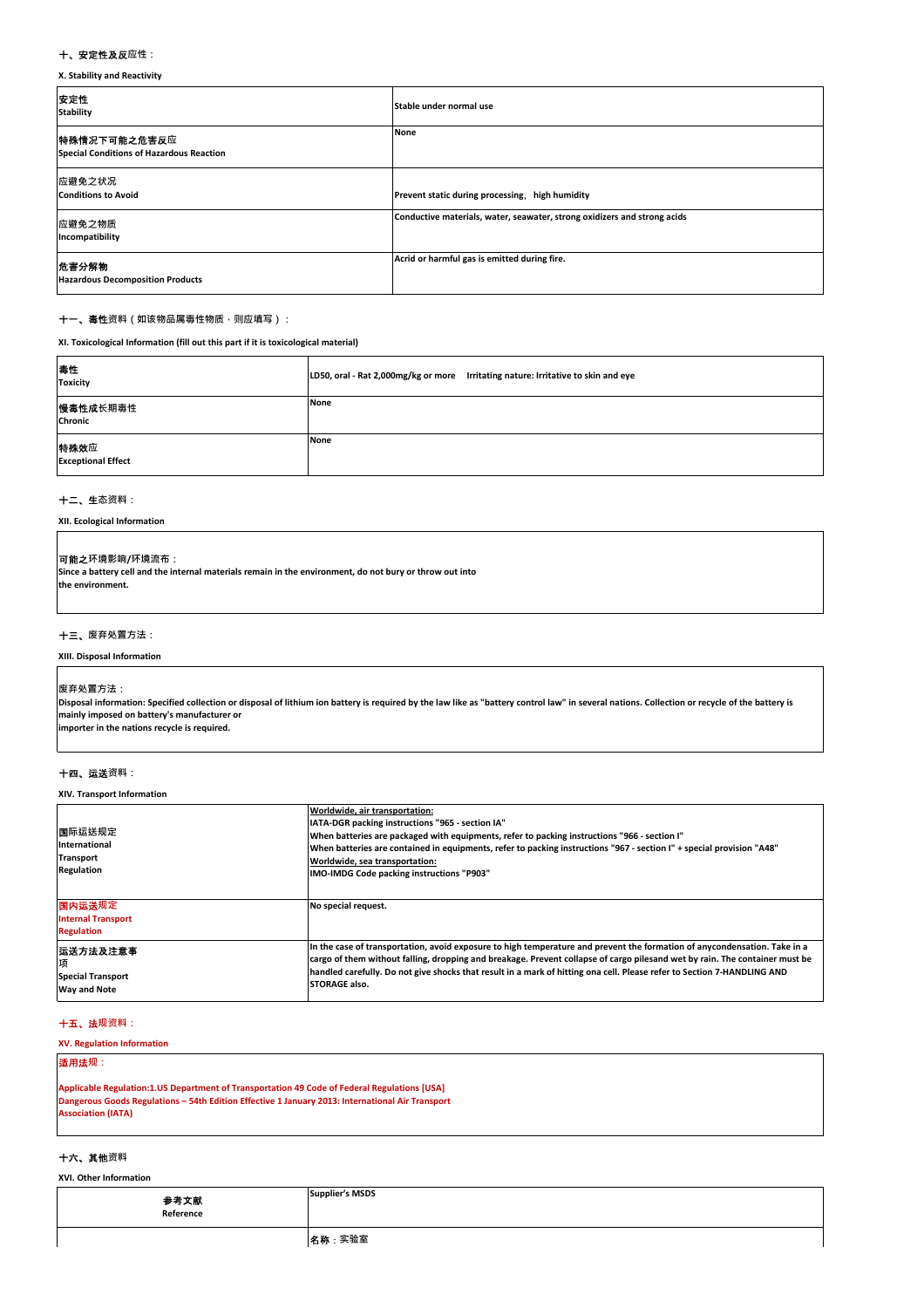#### 十、安定性及反**应性:**

**X. Stability and Reactivity**

| 安定性<br><b>Stability</b>                                  | Stable under normal use                                                  |
|----------------------------------------------------------|--------------------------------------------------------------------------|
| 特殊情况下可能之危害反应<br>Special Conditions of Hazardous Reaction | None                                                                     |
| 应避免之状况<br><b>Conditions to Avoid</b>                     | Prevent static during processing, high humidity                          |
| 应避免之物质<br>Incompatibility                                | Conductive materials, water, seawater, strong oxidizers and strong acids |
| 危害分解物<br><b>Hazardous Decomposition Products</b>         | Acrid or harmful gas is emitted during fire.                             |

#### 十一、毒性**资料(如该物品属毒性物质,则应填写):**

**XI. Toxicological Information (fill out this part if it is toxicological material)**

| 毒性<br><b>Toxicity</b>             | LD50, oral - Rat 2,000mg/kg or more Irritating nature: Irritative to skin and eye |
|-----------------------------------|-----------------------------------------------------------------------------------|
| 慢毒性成长期毒性<br>Chronic               | <b>None</b>                                                                       |
| 特殊效应<br><b>Exceptional Effect</b> | None                                                                              |

#### 十二、生**态资料:**

**XII. Ecological Information**

#### 可能之**环境影响/环境流布:**

**Since a battery cell and the internal materials remain in the environment, do not bury or throw out into the environment.**

#### 十三、**废弃处置方法:**

**XIII. Disposal Information**

#### **废弃处置方法:**

**Disposal information: Specified collection or disposal of lithium ion battery is required by the law like as "battery control law" in several nations. Collection or recycle of the battery is mainly imposed on battery's manufacturer or importer in the nations recycle is required.**

#### 十四、运送**资料:**

**XIV. Transport Information**

| 国际运送规定<br>International<br><b>Transport</b><br>Regulation        | Worldwide, air transportation:<br>IATA-DGR packing instructions "965 - section IA"<br>When batteries are packaged with equipments, refer to packing instructions "966 - section I"<br>When batteries are contained in equipments, refer to packing instructions "967 - section I" + special provision "A48"<br>Worldwide, sea transportation:<br>IMO-IMDG Code packing instructions "P903"           |
|------------------------------------------------------------------|------------------------------------------------------------------------------------------------------------------------------------------------------------------------------------------------------------------------------------------------------------------------------------------------------------------------------------------------------------------------------------------------------|
| 国内运送规定<br><b>Internal Transport</b><br><b>Regulation</b>         | No special request.                                                                                                                                                                                                                                                                                                                                                                                  |
| 运送方法及注意事<br>项<br><b>Special Transport</b><br><b>Way and Note</b> | In the case of transportation, avoid exposure to high temperature and prevent the formation of anycondensation. Take in a<br>cargo of them without falling, dropping and breakage. Prevent collapse of cargo pilesand wet by rain. The container must be<br>handled carefully. Do not give shocks that result in a mark of hitting ona cell. Please refer to Section 7-HANDLING AND<br>STORAGE also. |

# 十五、法**规资料:**

**XV. Regulation Information**

# 适用法**规:**

**Applicable Regulation:1.US Department of Transportation 49 Code of Federal Regulations [USA] Dangerous Goods Regulations – 54th Edition Effective 1 January 2013: International Air Transport Association (IATA)**

#### 十六、其他**资料**

**XVI. Other Information**

| <b>参考文献</b><br>Reference | <b>Supplier's MSDS</b> |
|--------------------------|------------------------|
|                          | 名称:实验室                 |